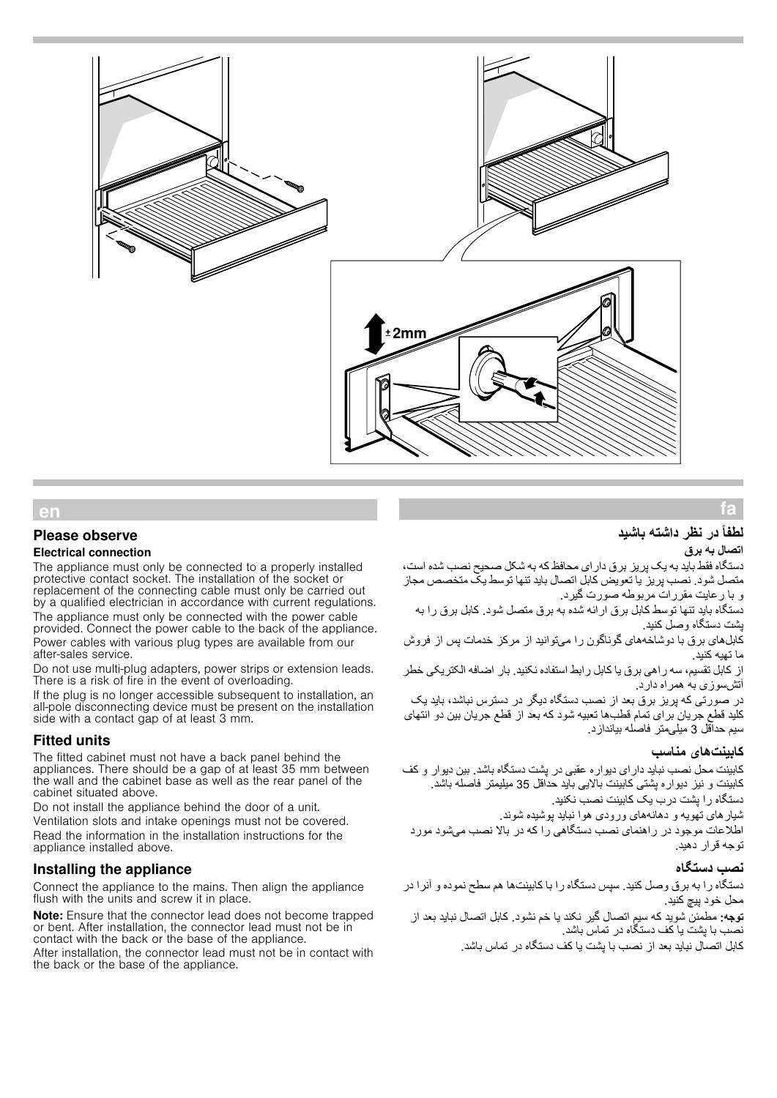

## **Please observe**

### **Electrical connection**

The appliance must only be connected to a properly installed or supplements that the socket. The installation of the socket or replacement of the connecting cable must only be carried out by a qualified electrician in accordance with current regulations. The appliance must only be connected with the power cable provided. Connect the power cable to the back of the appliance. Power cables with various plug types are available from our after-sales service.

Do not use multi-plug adapters, power strips or extension leads. There is a risk of fire in the event of overloading.

If the plug is no longer accessible subsequent to installation, an all-pole disconnecting device must be present on the installation side with a contact gap of at least 3 mm.

## **Fitted units**

The fitted cabinet must not have a back panel behind the appliances. There should be a gap of at least 35 mm between the wall and the cabinet base as well as the rear panel of the cabinet situated above.

Do not install the appliance behind the door of a unit. Ventilation slots and intake openings must not be covered. Read the information in the installation instructions for the appliance installed above.

## Installing the appliance

Connect the appliance to the mains. Then align the appliance flush with the units and screw it in place.

Note: Ensure that the connector lead does not become trapped or bent. After installation, the connector lead must not be in contact with the back or the base of the appliance. After installation, the connector lead must not be in contact with the back or the base of the appliance.

# Úراهنمای نصب **لطفاً در نظر داشتھ باشید**

### **اتصال بھ برق**

fa

دستگاه فقط باید بھ یک پریز برق دارای محافظ کھ بھ شکل صحیح نصب شده است، متصل شود. نصب پریز یا تعویض کابل اتصال باید تنھا توسط یک متخصص مجاز و با رعایت مقررات مربوطھ صورت گیرد.

دستگاه باید تنھا توسط کابل برق ارائھ شده بھ برق متصل شود. کابل برق را بھ پشت دستگاه وصل کنید.

کابل ھای برق با دوشاخھ ھای گوناگون را می توانید از مرکز خدمات پس از فروش ما تھیھ کنید.

از کابل تقسیم، سھ راھی برق یا کابل رابط استفاده نکنید. بار اضافھ الکتریکی خطر آتش سوزی بھ ھمراه دارد.

در صورتی کھ پریز برق بعد از نصب دستگاه دیگر در دسترس نباشد، باید یک کلید قطع جریان برای تمام قطب ھا تعبیھ شود کھ بعد از قطع جریان بین دو انتھای سیم حداقل 3 میلی متر فاصلھ بیاندازد.

### **کابینت ھای مناسب**

کابینت محل نصب نباید دارای دیواره عقبى در پشت دستگاه باشد. بین دیوار و کف کابینت و نیز دیواره پشتی کابینت بالایی باید حداقل 35 میلیمتر فاصلھ باشد. دستگاه را پشت درب یک کابینت نصب نکنید.

شیارھای تھویھ و دھانھ ھای ورودی ھوا نباید پوشیده شوند. اطلاعات موجود در راھنمای نصب دستگاھی را کھ در بالا نصب می شود مورد توجھ قرار دھید.

#### **نصب دستگاه**

دستگاه را بھ برق وصل کنید. سپس دستگاه را با کابینت ھا ھم سطح نموده و آنرا در محل خود پیچ کنید.

**توجھ:** مطمئن شوید کھ سیم اتصال گیر نکند یا خم نشود. کابل اتصال نباید بعد از نصب با پشت یا کف دستگاه در تماس باشد.

کابل اتصال نباید بعد از نصب با پشت یا کف دستگاه در تماس باشد.